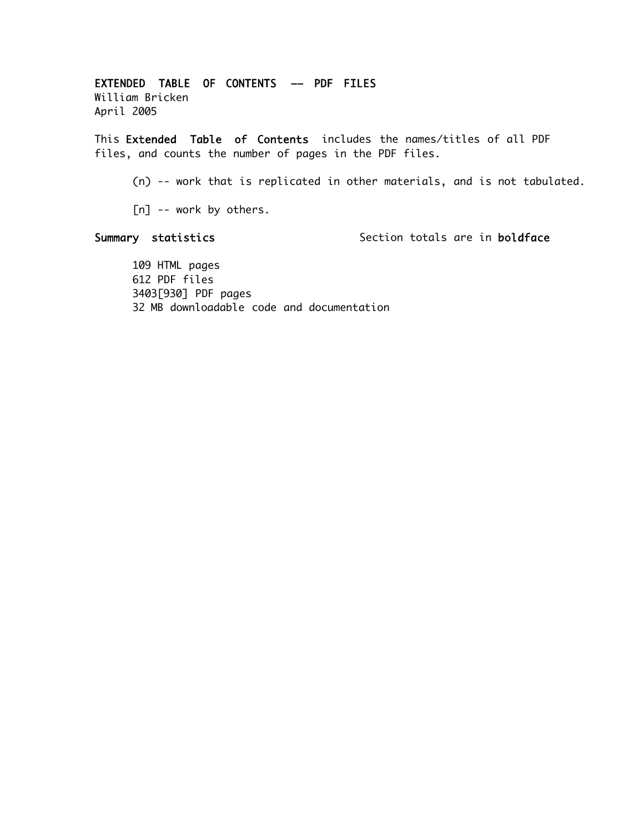EXTENDED TABLE OF CONTENTS –– PDF FILES William Bricken April 2005

This Extended Table of Contents includes the names/titles of all PDF files, and counts the number of pages in the PDF files.

(n) -- work that is replicated in other materials, and is not tabulated.

[n] -- work by others.

Summary statistics Section totals are in boldface

109 HTML pages 612 PDF files 3403[930] PDF pages 32 MB downloadable code and documentation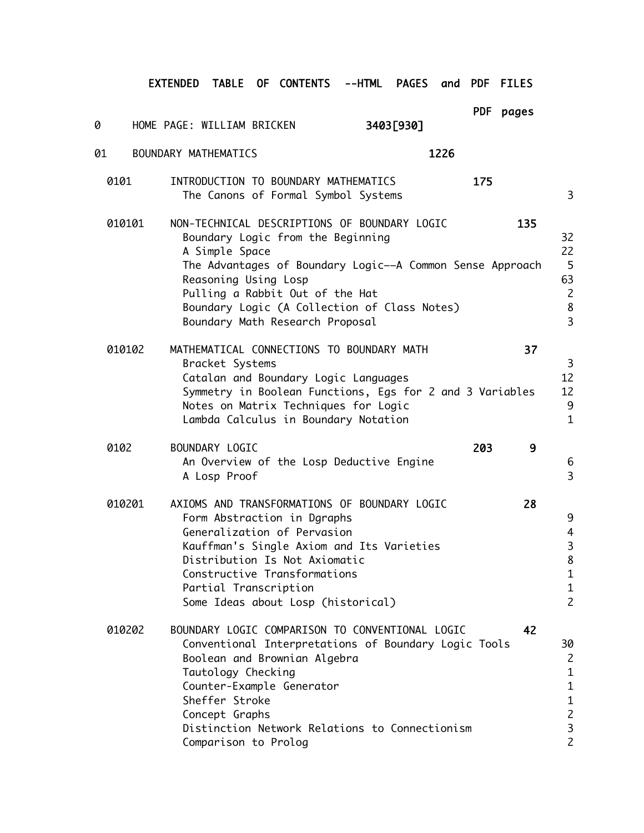EXTENDED TABLE OF CONTENTS --HTML PAGES and PDF FILES

PDF pages

| 0      | HOME PAGE: WILLIAM BRICKEN                                                                                                                                                                                                                                                                                     | 3403[930] | PDF pages |                                                                                                             |
|--------|----------------------------------------------------------------------------------------------------------------------------------------------------------------------------------------------------------------------------------------------------------------------------------------------------------------|-----------|-----------|-------------------------------------------------------------------------------------------------------------|
| 01     | BOUNDARY MATHEMATICS                                                                                                                                                                                                                                                                                           | 1226      |           |                                                                                                             |
| 0101   | INTRODUCTION TO BOUNDARY MATHEMATICS<br>The Canons of Formal Symbol Systems                                                                                                                                                                                                                                    |           | 175       | 3                                                                                                           |
| 010101 | NON-TECHNICAL DESCRIPTIONS OF BOUNDARY LOGIC<br>Boundary Logic from the Beginning<br>A Simple Space<br>The Advantages of Boundary Logic--A Common Sense Approach<br>Reasoning Using Losp<br>Pulling a Rabbit Out of the Hat<br>Boundary Logic (A Collection of Class Notes)<br>Boundary Math Research Proposal |           | 135       | 32<br>22<br>5<br>63<br>$\overline{c}$<br>8<br>$\overline{\mathbf{3}}$                                       |
| 010102 | MATHEMATICAL CONNECTIONS TO BOUNDARY MATH<br>Bracket Systems<br>Catalan and Boundary Logic Languages<br>Symmetry in Boolean Functions, Egs for 2 and 3 Variables<br>Notes on Matrix Techniques for Logic<br>Lambda Calculus in Boundary Notation                                                               |           | 37        | $\mathbf{3}$<br>12<br>12<br>9<br>$\mathbf{1}$                                                               |
| 0102   | BOUNDARY LOGIC<br>An Overview of the Losp Deductive Engine<br>A Losp Proof                                                                                                                                                                                                                                     |           | 203<br>9  | $6\phantom{1}6$<br>3                                                                                        |
| 010201 | AXIOMS AND TRANSFORMATIONS OF BOUNDARY LOGIC<br>Form Abstraction in Dgraphs<br>Generalization of Pervasion<br>Kauffman's Single Axiom and Its Varieties<br>Distribution Is Not Axiomatic<br>Constructive Transformations<br>Partial Transcription<br>Some Ideas about Losp (historical)                        |           | 28        | 9<br>4<br>$\begin{array}{c} 3 \\ 8 \end{array}$<br>$\mathbf{1}$<br>$\mathbf 1$<br>$\overline{c}$            |
| 010202 | BOUNDARY LOGIC COMPARISON TO CONVENTIONAL LOGIC<br>Conventional Interpretations of Boundary Logic Tools<br>Boolean and Brownian Algebra<br>Tautology Checking<br>Counter-Example Generator<br>Sheffer Stroke<br>Concept Graphs<br>Distinction Network Relations to Connectionism<br>Comparison to Prolog       |           | 42        | 30<br>$\overline{c}$<br>$\mathbf{1}$<br>$\mathbf 1$<br>$\mathbf 1$<br>$\overline{c}$<br>3<br>$\overline{c}$ |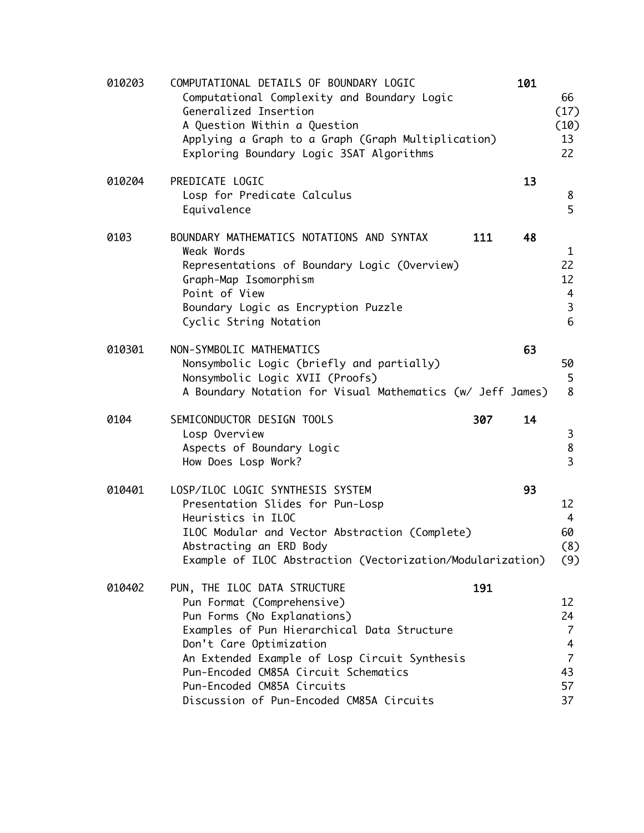| 010203 | COMPUTATIONAL DETAILS OF BOUNDARY LOGIC<br>Computational Complexity and Boundary Logic<br>Generalized Insertion<br>A Question Within a Question<br>Applying a Graph to a Graph (Graph Multiplication)<br>Exploring Boundary Logic 3SAT Algorithms                                                                                             | 101 | 66<br>(17)<br>(10)<br>13<br>22                                      |
|--------|-----------------------------------------------------------------------------------------------------------------------------------------------------------------------------------------------------------------------------------------------------------------------------------------------------------------------------------------------|-----|---------------------------------------------------------------------|
| 010204 | PREDICATE LOGIC<br>Losp for Predicate Calculus<br>Equivalence                                                                                                                                                                                                                                                                                 | 13  | 8<br>5                                                              |
| 0103   | BOUNDARY MATHEMATICS NOTATIONS AND SYNTAX<br>111<br>Weak Words<br>Representations of Boundary Logic (Overview)<br>Graph-Map Isomorphism<br>Point of View<br>Boundary Logic as Encryption Puzzle<br>Cyclic String Notation                                                                                                                     | 48  | 1<br>22<br>12<br>4<br>$\overline{3}$<br>$6\phantom{1}6$             |
| 010301 | NON-SYMBOLIC MATHEMATICS<br>Nonsymbolic Logic (briefly and partially)<br>Nonsymbolic Logic XVII (Proofs)<br>A Boundary Notation for Visual Mathematics (w/ Jeff James)                                                                                                                                                                        | 63  | 50<br>5<br>8                                                        |
| 0104   | SEMICONDUCTOR DESIGN TOOLS<br>307<br>Losp Overview<br>Aspects of Boundary Logic<br>How Does Losp Work?                                                                                                                                                                                                                                        | 14  | 3<br>8<br>$\overline{3}$                                            |
| 010401 | LOSP/ILOC LOGIC SYNTHESIS SYSTEM<br>Presentation Slides for Pun-Losp<br>Heuristics in ILOC<br>ILOC Modular and Vector Abstraction (Complete)<br>Abstracting an ERD Body<br>Example of ILOC Abstraction (Vectorization/Modularization)                                                                                                         | 93  | 12<br>4<br>60<br>(8)<br>(9)                                         |
| 010402 | 191<br>PUN, THE ILOC DATA STRUCTURE<br>Pun Format (Comprehensive)<br>Pun Forms (No Explanations)<br>Examples of Pun Hierarchical Data Structure<br>Don't Care Optimization<br>An Extended Example of Losp Circuit Synthesis<br>Pun-Encoded CM85A Circuit Schematics<br>Pun-Encoded CM85A Circuits<br>Discussion of Pun-Encoded CM85A Circuits |     | 12<br>24<br>$\overline{7}$<br>4<br>$\overline{7}$<br>43<br>57<br>37 |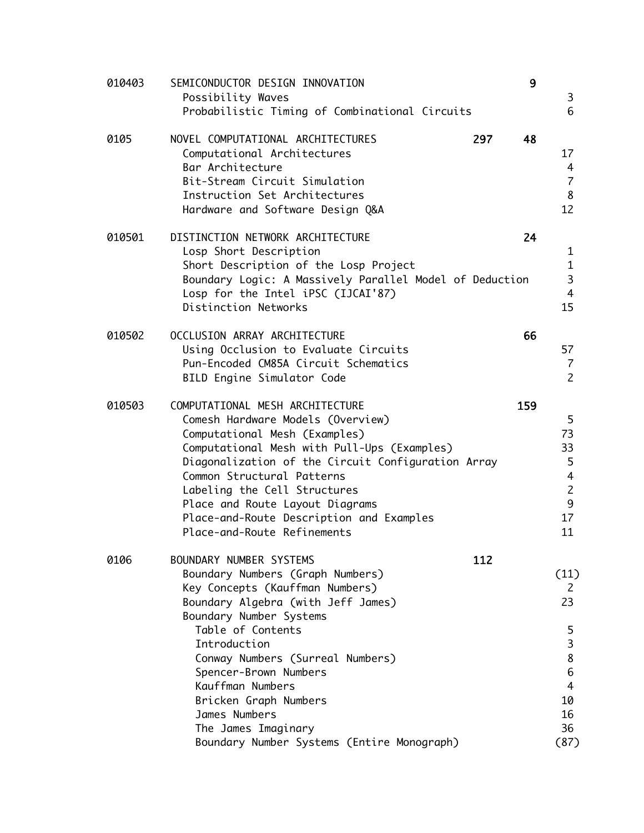| 010403 | SEMICONDUCTOR DESIGN INNOVATION<br>Possibility Waves<br>Probabilistic Timing of Combinational Circuits                                                                                                                                                                                                                                                                                               | 9         | 3<br>6                                                                                     |
|--------|------------------------------------------------------------------------------------------------------------------------------------------------------------------------------------------------------------------------------------------------------------------------------------------------------------------------------------------------------------------------------------------------------|-----------|--------------------------------------------------------------------------------------------|
| 0105   | NOVEL COMPUTATIONAL ARCHITECTURES<br>Computational Architectures<br>Bar Architecture<br>Bit-Stream Circuit Simulation<br>Instruction Set Architectures<br>Hardware and Software Design Q&A                                                                                                                                                                                                           | 297<br>48 | 17<br>4<br>$\overline{7}$<br>8<br>12                                                       |
| 010501 | DISTINCTION NETWORK ARCHITECTURE<br>Losp Short Description<br>Short Description of the Losp Project<br>Boundary Logic: A Massively Parallel Model of Deduction<br>Losp for the Intel iPSC (IJCAI'87)<br>Distinction Networks                                                                                                                                                                         | 24        | $\mathbf{1}$<br>$\mathbf{1}$<br>3<br>$\overline{4}$<br>15                                  |
| 010502 | OCCLUSION ARRAY ARCHITECTURE<br>Using Occlusion to Evaluate Circuits<br>Pun-Encoded CM85A Circuit Schematics<br>BILD Engine Simulator Code                                                                                                                                                                                                                                                           | 66        | 57<br>7<br>$\overline{2}$                                                                  |
| 010503 | COMPUTATIONAL MESH ARCHITECTURE<br>Comesh Hardware Models (Overview)<br>Computational Mesh (Examples)<br>Computational Mesh with Pull-Ups (Examples)<br>Diagonalization of the Circuit Configuration Array<br>Common Structural Patterns<br>Labeling the Cell Structures<br>Place and Route Layout Diagrams<br>Place-and-Route Description and Examples<br>Place-and-Route Refinements               | 159       | 5<br>73<br>33<br>5<br>$\overline{4}$<br>$\overline{c}$<br>9<br>17<br>11                    |
| 0106   | BOUNDARY NUMBER SYSTEMS<br>Boundary Numbers (Graph Numbers)<br>Key Concepts (Kauffman Numbers)<br>Boundary Algebra (with Jeff James)<br>Boundary Number Systems<br>Table of Contents<br>Introduction<br>Conway Numbers (Surreal Numbers)<br>Spencer-Brown Numbers<br>Kauffman Numbers<br>Bricken Graph Numbers<br>James Numbers<br>The James Imaginary<br>Boundary Number Systems (Entire Monograph) | 112       | (11)<br>$\mathsf{Z}$<br>23<br>5<br>3<br>8<br>6<br>$\overline{4}$<br>10<br>16<br>36<br>(87) |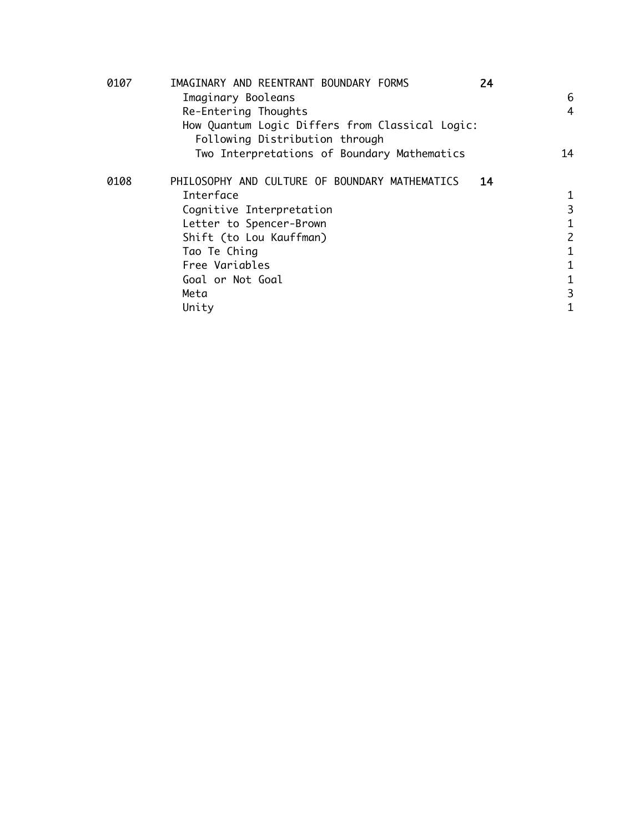| 0107 | IMAGINARY AND REENTRANT BOUNDARY FORMS<br>24         |                |
|------|------------------------------------------------------|----------------|
|      | Imaginary Booleans                                   | 6              |
|      | Re-Entering Thoughts                                 | $\overline{4}$ |
|      | How Quantum Logic Differs from Classical Logic:      |                |
|      | Following Distribution through                       |                |
|      | Two Interpretations of Boundary Mathematics          | 14             |
| 0108 | PHILOSOPHY AND CULTURE OF BOUNDARY MATHEMATICS<br>14 |                |
|      | Interface                                            | 1              |
|      | Cognitive Interpretation                             | 3              |
|      | Letter to Spencer-Brown                              | 1              |
|      | Shift (to Lou Kauffman)                              | $\overline{c}$ |
|      | Tao Te Ching                                         | 1              |
|      | Free Variables                                       | 1              |
|      | Goal or Not Goal                                     | 1              |
|      | Meta                                                 | 3              |
|      | Unity                                                | 1              |
|      |                                                      |                |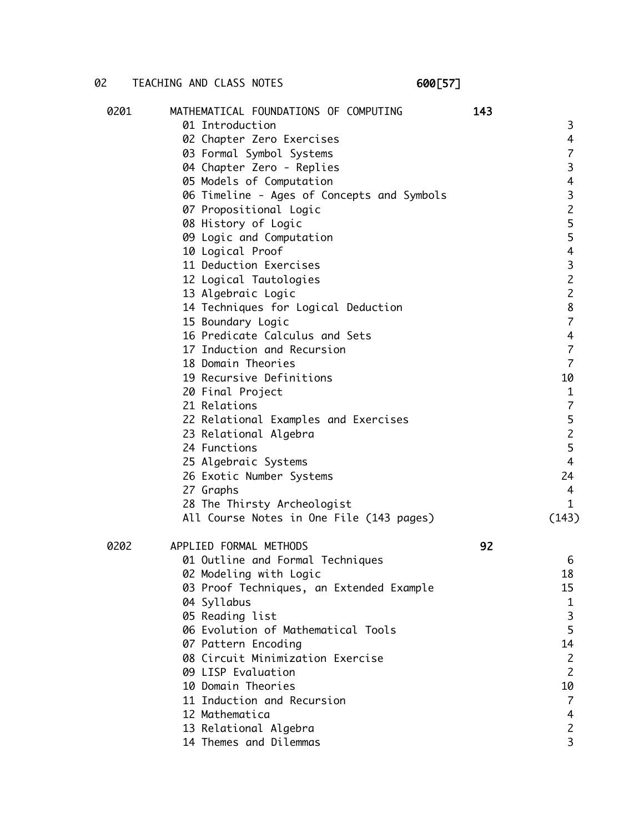## 02 TEACHING AND CLASS NOTES 600[57]

| 0201 | MATHEMATICAL FOUNDATIONS OF COMPUTING      | 143 |                          |
|------|--------------------------------------------|-----|--------------------------|
|      | 01 Introduction                            |     | 3                        |
|      | 02 Chapter Zero Exercises                  |     | 4                        |
|      | 03 Formal Symbol Systems                   |     | $\overline{\mathcal{L}}$ |
|      | 04 Chapter Zero - Replies                  |     | $\mathbf{3}$             |
|      | 05 Models of Computation                   |     | $\overline{4}$           |
|      | 06 Timeline - Ages of Concepts and Symbols |     | $\mathbf{3}$             |
|      | 07 Propositional Logic                     |     | $\overline{c}$           |
|      | 08 History of Logic                        |     | 5                        |
|      | 09 Logic and Computation                   |     | 5                        |
|      | 10 Logical Proof                           |     | $\overline{4}$           |
|      | 11 Deduction Exercises                     |     | $\overline{3}$           |
|      | 12 Logical Tautologies                     |     | $\overline{c}$           |
|      | 13 Algebraic Logic                         |     | $\overline{c}$           |
|      | 14 Techniques for Logical Deduction        |     | $\bf 8$                  |
|      | 15 Boundary Logic                          |     | $\overline{7}$           |
|      | 16 Predicate Calculus and Sets             |     | $\overline{4}$           |
|      | 17 Induction and Recursion                 |     | $\overline{7}$           |
|      | 18 Domain Theories                         |     | $\overline{7}$           |
|      | 19 Recursive Definitions                   |     | 10                       |
|      | 20 Final Project                           |     | $\mathbf{1}$             |
|      | 21 Relations                               |     | $\overline{7}$           |
|      | 22 Relational Examples and Exercises       |     | 5                        |
|      | 23 Relational Algebra                      |     | $\overline{c}$           |
|      | 24 Functions                               |     | 5                        |
|      | 25 Algebraic Systems                       |     | $\overline{4}$           |
|      | 26 Exotic Number Systems                   |     | 24                       |
|      | 27 Graphs                                  |     | 4                        |
|      | 28 The Thirsty Archeologist                |     | 1                        |
|      | All Course Notes in One File (143 pages)   |     | (143)                    |
| 0202 | APPLIED FORMAL METHODS                     | 92  |                          |
|      | 01 Outline and Formal Techniques           |     | 6                        |
|      | 02 Modeling with Logic                     |     | 18                       |
|      | 03 Proof Techniques, an Extended Example   |     | 15                       |
|      | 04 Syllabus                                |     | 1                        |
|      | 05 Reading list                            |     | 3                        |
|      | 06 Evolution of Mathematical Tools         |     | 5                        |
|      | 07 Pattern Encoding                        |     | 14                       |
|      | 08 Circuit Minimization Exercise           |     | $\mathbf{2}$             |
|      | 09 LISP Evaluation                         |     | $\overline{2}$           |
|      | 10 Domain Theories                         |     | 10                       |
|      | 11 Induction and Recursion                 |     | 7                        |
|      | 12 Mathematica                             |     | 4                        |
|      | 13 Relational Algebra                      |     | $\overline{c}$           |
|      | 14 Themes and Dilemmas                     |     | 3                        |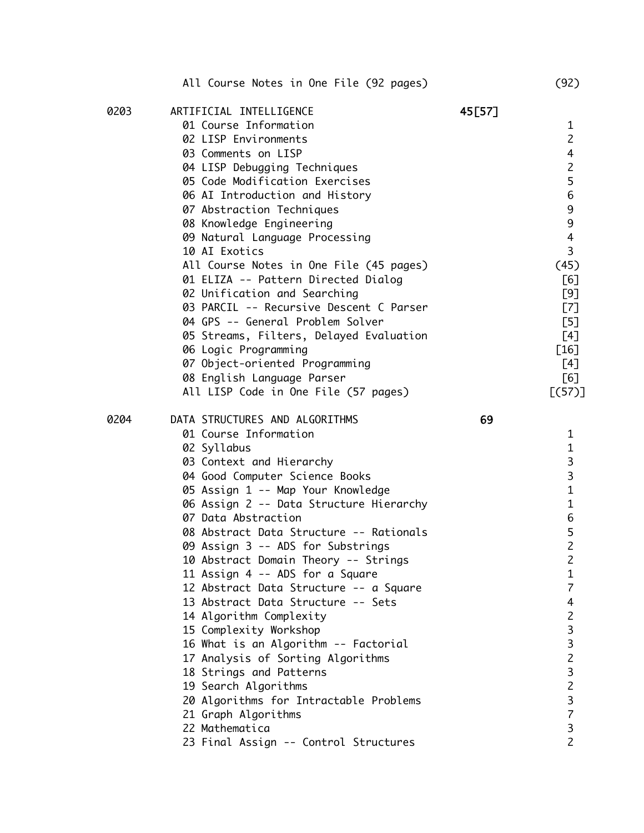|      | All Course Notes in One File (92 pages) |        | (92)             |
|------|-----------------------------------------|--------|------------------|
| 0203 | ARTIFICIAL INTELLIGENCE                 | 45[57] |                  |
|      | 01 Course Information                   |        | $\mathbf{1}$     |
|      | 02 LISP Environments                    |        | $\overline{2}$   |
|      | 03 Comments on LISP                     |        | $\overline{4}$   |
|      | 04 LISP Debugging Techniques            |        | $\overline{c}$   |
|      | 05 Code Modification Exercises          |        | 5                |
|      | 06 AI Introduction and History          |        | $\,$ 6 $\,$      |
|      | 07 Abstraction Techniques               |        | $\boldsymbol{9}$ |
|      | 08 Knowledge Engineering                |        | $\mathsf 9$      |
|      | 09 Natural Language Processing          |        | $\overline{4}$   |
|      | 10 AI Exotics                           |        | 3                |
|      | All Course Notes in One File (45 pages) |        | (45)             |
|      | 01 ELIZA -- Pattern Directed Dialog     |        | [6]              |
|      | 02 Unification and Searching            |        | [9]              |
|      | 03 PARCIL -- Recursive Descent C Parser |        | [7]              |
|      | 04 GPS -- General Problem Solver        |        | [5]              |
|      | 05 Streams, Filters, Delayed Evaluation |        | [4]              |
|      | 06 Logic Programming                    |        | $[16]$           |
|      | 07 Object-oriented Programming          |        | [4]              |
|      | 08 English Language Parser              |        | [6]              |
|      | All LISP Code in One File (57 pages)    |        | [(57)]           |
| 0204 | DATA STRUCTURES AND ALGORITHMS          | 69     |                  |
|      | 01 Course Information                   |        | 1                |
|      | 02 Syllabus                             |        | $\mathbf{1}$     |
|      | 03 Context and Hierarchy                |        | 3                |
|      | 04 Good Computer Science Books          |        | 3                |
|      | 05 Assign 1 -- Map Your Knowledge       |        | $\mathbf{1}$     |
|      | 06 Assign 2 -- Data Structure Hierarchy |        | $\mathbf{1}$     |
|      | 07 Data Abstraction                     |        | 6                |
|      | 08 Abstract Data Structure -- Rationals |        | 5                |
|      | 09 Assign 3 -- ADS for Substrings       |        | 2                |
|      | 10 Abstract Domain Theory -- Strings    |        | 2                |
|      | 11 Assign 4 -- ADS for a Square         |        | 1                |
|      | 12 Abstract Data Structure -- a Square  |        | $\overline{7}$   |
|      | 13 Abstract Data Structure -- Sets      |        | 4                |
|      | 14 Algorithm Complexity                 |        | $\overline{c}$   |
|      | 15 Complexity Workshop                  |        | 3                |
|      | 16 What is an Algorithm -- Factorial    |        | 3                |
|      | 17 Analysis of Sorting Algorithms       |        | $\overline{c}$   |
|      | 18 Strings and Patterns                 |        | 3                |
|      | 19 Search Algorithms                    |        | $\overline{c}$   |
|      | 20 Algorithms for Intractable Problems  |        | 3                |
|      | 21 Graph Algorithms                     |        | $\overline{7}$   |
|      | 22 Mathematica                          |        | 3                |
|      | 23 Final Assign -- Control Structures   |        | $\overline{2}$   |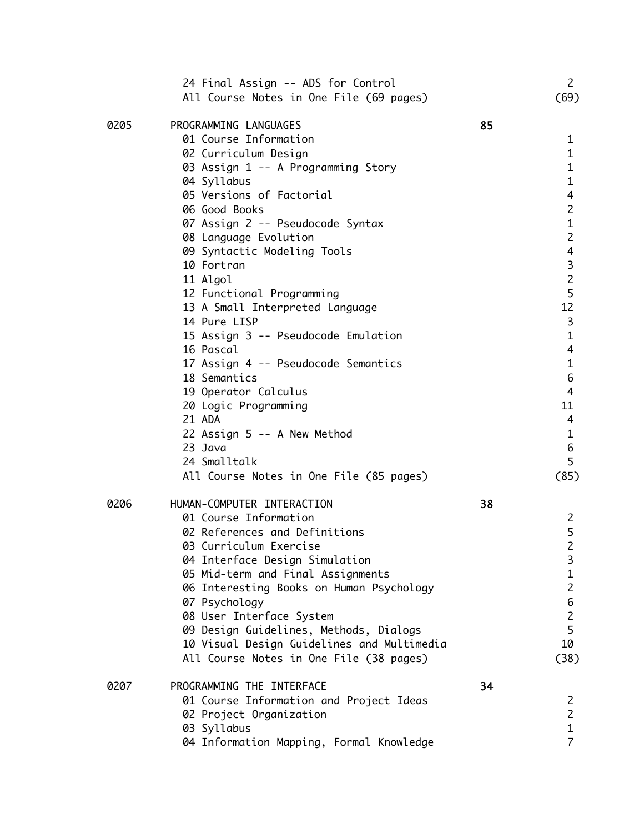|      | 24 Final Assign -- ADS for Control<br>All Course Notes in One File (69 pages) |    | $\mathsf{Z}$<br>(69) |
|------|-------------------------------------------------------------------------------|----|----------------------|
| 0205 | PROGRAMMING LANGUAGES                                                         | 85 |                      |
|      | 01 Course Information                                                         |    | $\mathbf{1}$         |
|      | 02 Curriculum Design                                                          |    | $\mathbf{1}$         |
|      | 03 Assign 1 -- A Programming Story                                            |    | $\mathbf{1}$         |
|      | 04 Syllabus                                                                   |    | $\mathbf{1}$         |
|      | 05 Versions of Factorial                                                      |    | 4                    |
|      | 06 Good Books                                                                 |    | $\mathsf{S}$         |
|      | 07 Assign 2 -- Pseudocode Syntax                                              |    | $\mathbf{1}$         |
|      | 08 Language Evolution                                                         |    | $\overline{c}$       |
|      | 09 Syntactic Modeling Tools                                                   |    | $\overline{4}$       |
|      | 10 Fortran                                                                    |    | 3                    |
|      | 11 Algol                                                                      |    | $\overline{c}$       |
|      | 12 Functional Programming                                                     |    | 5                    |
|      | 13 A Small Interpreted Language                                               |    | 12                   |
|      | 14 Pure LISP                                                                  |    | 3                    |
|      | 15 Assign 3 -- Pseudocode Emulation                                           |    | $\mathbf{1}$         |
|      | 16 Pascal                                                                     |    | $\overline{4}$       |
|      | 17 Assign 4 -- Pseudocode Semantics                                           |    | $\mathbf{1}$         |
|      | 18 Semantics                                                                  |    | 6                    |
|      | 19 Operator Calculus                                                          |    | $\overline{4}$       |
|      | 20 Logic Programming                                                          |    | 11                   |
|      | 21 ADA                                                                        |    | 4                    |
|      | 22 Assign 5 -- A New Method                                                   |    | $\mathbf{1}$         |
|      | 23 Java                                                                       |    | 6                    |
|      | 24 Smalltalk                                                                  |    | 5                    |
|      | All Course Notes in One File (85 pages)                                       |    | (85)                 |
| 0206 | HUMAN-COMPUTER INTERACTION                                                    | 38 |                      |
|      | 01 Course Information                                                         |    | $\mathsf{Z}$         |
|      | 02 References and Definitions                                                 |    | 5                    |
|      | 03 Curriculum Exercise                                                        |    | $\overline{c}$       |
|      | 04 Interface Design Simulation                                                |    | 3                    |
|      | 05 Mid-term and Final Assignments                                             |    | $\mathbf{1}$         |
|      | 06 Interesting Books on Human Psychology                                      |    | $\overline{c}$       |
|      | 07 Psychology                                                                 |    | 6                    |
|      | 08 User Interface System                                                      |    | $\overline{c}$       |
|      | 09 Design Guidelines, Methods, Dialogs                                        |    | 5                    |
|      | 10 Visual Design Guidelines and Multimedia                                    |    | 10                   |
|      | All Course Notes in One File (38 pages)                                       |    | (38)                 |
| 0207 | PROGRAMMING THE INTERFACE                                                     | 34 |                      |
|      | 01 Course Information and Project Ideas                                       |    | 2                    |
|      | 02 Project Organization                                                       |    | $\overline{c}$       |
|      | 03 Syllabus                                                                   |    | $\mathbf 1$          |
|      | 04 Information Mapping, Formal Knowledge                                      |    | $\overline{7}$       |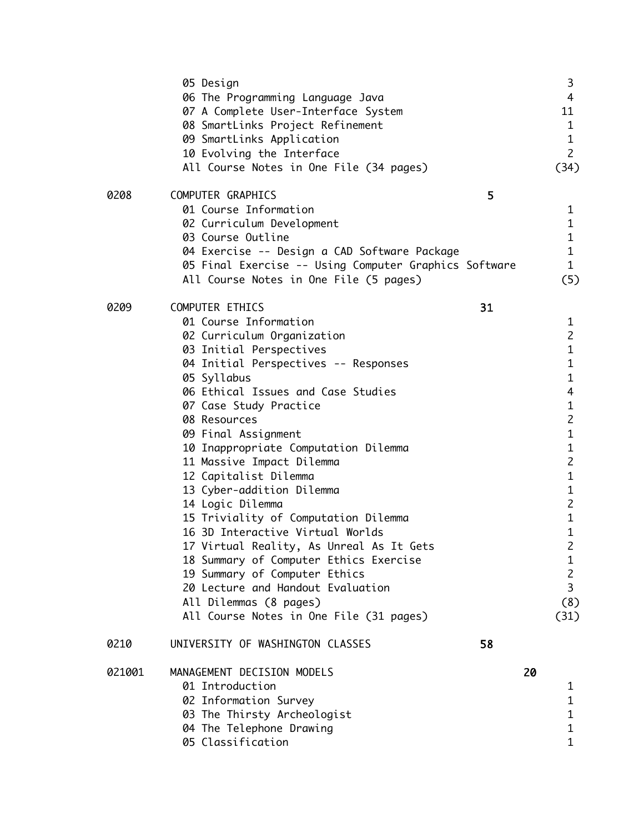|        | 05 Design                                                         |    |    | 3                                |
|--------|-------------------------------------------------------------------|----|----|----------------------------------|
|        | 06 The Programming Language Java                                  |    |    | 4                                |
|        | 07 A Complete User-Interface System                               |    |    | 11                               |
|        | 08 SmartLinks Project Refinement                                  |    |    | 1                                |
|        | 09 SmartLinks Application                                         |    |    | $\mathbf{1}$                     |
|        | 10 Evolving the Interface                                         |    |    | $\mathsf{Z}$                     |
|        | All Course Notes in One File (34 pages)                           |    |    | (34)                             |
| 0208   | COMPUTER GRAPHICS                                                 | 5  |    |                                  |
|        | 01 Course Information                                             |    |    | 1                                |
|        | 02 Curriculum Development                                         |    |    | $\mathbf{1}$                     |
|        | 03 Course Outline                                                 |    |    | $\mathbf{1}$                     |
|        | 04 Exercise -- Design a CAD Software Package                      |    |    | $\mathbf{1}$                     |
|        | 05 Final Exercise -- Using Computer Graphics Software             |    |    | $\mathbf{1}$                     |
|        | All Course Notes in One File (5 pages)                            |    |    | (5)                              |
| 0209   | COMPUTER ETHICS                                                   | 31 |    |                                  |
|        | 01 Course Information                                             |    |    | 1                                |
|        | 02 Curriculum Organization                                        |    |    | $\overline{2}$                   |
|        | 03 Initial Perspectives                                           |    |    | $\mathbf{1}$                     |
|        | 04 Initial Perspectives -- Responses                              |    |    | $\mathbf{1}$                     |
|        | 05 Syllabus                                                       |    |    | $\mathbf{1}$                     |
|        | 06 Ethical Issues and Case Studies                                |    |    | 4                                |
|        | 07 Case Study Practice                                            |    |    | 1                                |
|        | 08 Resources                                                      |    |    | $\overline{c}$                   |
|        | 09 Final Assignment                                               |    |    | $\mathbf{1}$                     |
|        | 10 Inappropriate Computation Dilemma                              |    |    | $\mathbf{1}$                     |
|        | 11 Massive Impact Dilemma                                         |    |    | $\overline{2}$                   |
|        | 12 Capitalist Dilemma                                             |    |    | $\mathbf{1}$                     |
|        | 13 Cyber-addition Dilemma                                         |    |    | $\mathbf{1}$                     |
|        | 14 Logic Dilemma                                                  |    |    | $\overline{c}$                   |
|        | 15 Triviality of Computation Dilemma                              |    |    | $\mathbf{1}$                     |
|        | 16 3D Interactive Virtual Worlds                                  |    |    | $\mathbf{1}$                     |
|        | 17 Virtual Reality, As Unreal As It Gets                          |    |    | $\overline{c}$                   |
|        | 18 Summary of Computer Ethics Exercise                            |    |    | 1                                |
|        | 19 Summary of Computer Ethics                                     |    |    | $\overline{c}$<br>$\overline{3}$ |
|        | 20 Lecture and Handout Evaluation                                 |    |    |                                  |
|        | All Dilemmas (8 pages)<br>All Course Notes in One File (31 pages) |    |    | (8)                              |
|        |                                                                   |    |    | (31)                             |
| 0210   | UNIVERSITY OF WASHINGTON CLASSES                                  | 58 |    |                                  |
| 021001 | MANAGEMENT DECISION MODELS                                        |    | 20 |                                  |
|        | 01 Introduction                                                   |    |    | 1                                |
|        | 02 Information Survey                                             |    |    | $\mathbf{1}$                     |
|        | 03 The Thirsty Archeologist                                       |    |    | $\mathbf{1}$                     |
|        | 04 The Telephone Drawing                                          |    |    | 1                                |
|        | 05 Classification                                                 |    |    | $\mathbf{1}$                     |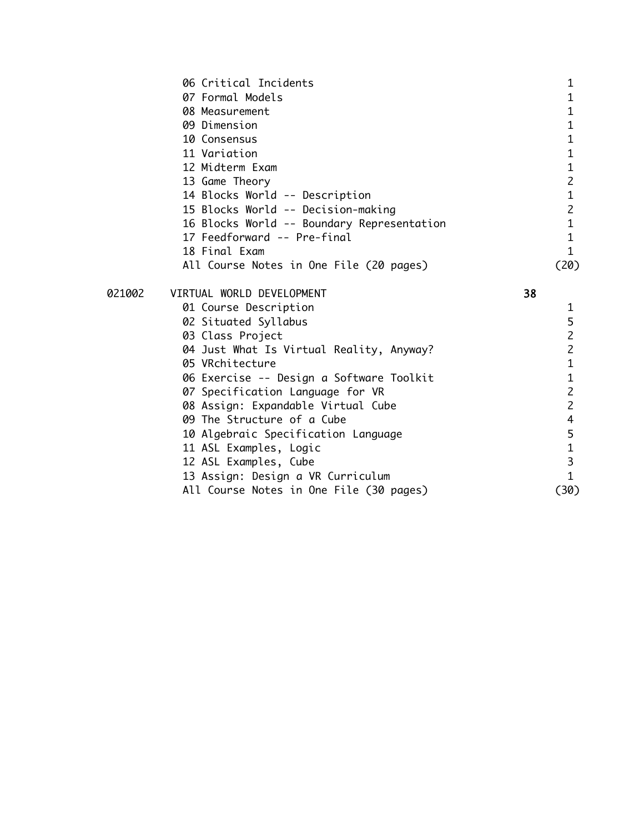|        | 06 Critical Incidents                      | $\mathbf 1$             |
|--------|--------------------------------------------|-------------------------|
|        | 07 Formal Models                           | $\mathbf{1}$            |
|        | 08 Measurement                             | $\mathbf{1}$            |
|        | 09 Dimension                               | $1\,$                   |
|        | 10 Consensus                               | $\mathbf{1}$            |
|        | 11 Variation                               | $\mathbf{1}$            |
|        | 12 Midterm Exam                            | $\mathbf 1$             |
|        | 13 Game Theory                             | $\overline{c}$          |
|        | 14 Blocks World -- Description             | $\mathbf 1$             |
|        | 15 Blocks World -- Decision-making         | $\overline{c}$          |
|        | 16 Blocks World -- Boundary Representation | $\mathbf 1$             |
|        | 17 Feedforward -- Pre-final                | $\mathbf{1}$            |
|        | 18 Final Exam                              | $\mathbf{1}$            |
|        | All Course Notes in One File (20 pages)    | (20)                    |
| 021002 | VIRTUAL WORLD DEVELOPMENT                  | 38                      |
|        | 01 Course Description                      | $\mathbf{1}$            |
|        | 02 Situated Syllabus                       | $\frac{5}{2}$           |
|        | 03 Class Project                           |                         |
|        | 04 Just What Is Virtual Reality, Anyway?   | $\overline{c}$          |
|        | 05 VRchitecture                            | $\mathbf 1$             |
|        | 06 Exercise -- Design a Software Toolkit   | $\mathbf{1}$            |
|        | 07 Specification Language for VR           | $\overline{c}$          |
|        | 08 Assign: Expandable Virtual Cube         | $\overline{c}$          |
|        | 09 The Structure of a Cube                 | $\overline{\mathbf{4}}$ |
|        | 10 Algebraic Specification Language        | 5                       |
|        | 11 ASL Examples, Logic                     | $\mathbf 1$             |
|        | 12 ASL Examples, Cube                      | 3                       |
|        | 13 Assign: Design a VR Curriculum          | $\mathbf{1}$            |
|        | All Course Notes in One File (30 pages)    | (30)                    |
|        |                                            |                         |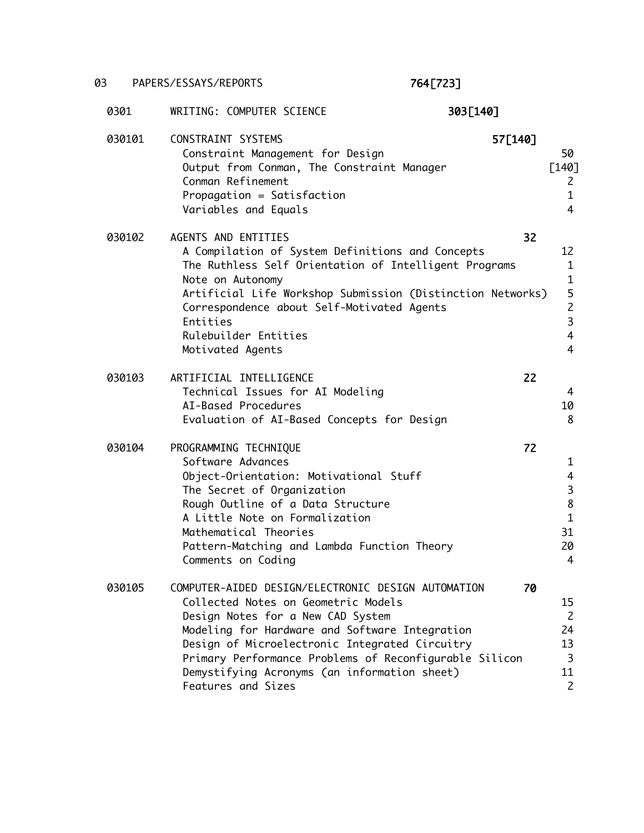## 03 PAPERS/ESSAYS/REPORTS 764[723]

| 0301   | 303[140]<br>WRITING: COMPUTER SCIENCE                                                                                                                                                                                                                                                                                                                              |         |                                                                                |
|--------|--------------------------------------------------------------------------------------------------------------------------------------------------------------------------------------------------------------------------------------------------------------------------------------------------------------------------------------------------------------------|---------|--------------------------------------------------------------------------------|
| 030101 | CONSTRAINT SYSTEMS<br>Constraint Management for Design<br>Output from Conman, The Constraint Manager<br>Conman Refinement<br>Propagation = Satisfaction<br>Variables and Equals                                                                                                                                                                                    | 57[140] | 50<br>$[140]$<br>2<br>1<br>$\overline{4}$                                      |
| 030102 | AGENTS AND ENTITIES<br>A Compilation of System Definitions and Concepts<br>The Ruthless Self Orientation of Intelligent Programs<br>Note on Autonomy<br>Artificial Life Workshop Submission (Distinction Networks)<br>Correspondence about Self-Motivated Agents<br>Entities<br>Rulebuilder Entities<br>Motivated Agents                                           | 32      | 12<br>1<br>$\mathbf{1}$<br>5<br>$\overline{c}$<br>3<br>4<br>$\overline{4}$     |
| 030103 | ARTIFICIAL INTELLIGENCE<br>Technical Issues for AI Modeling<br>AI-Based Procedures<br>Evaluation of AI-Based Concepts for Design                                                                                                                                                                                                                                   | 22      | 4<br>10<br>8                                                                   |
| 030104 | PROGRAMMING TECHNIQUE<br>Software Advances<br>Object-Orientation: Motivational Stuff<br>The Secret of Organization<br>Rough Outline of a Data Structure<br>A Little Note on Formalization<br>Mathematical Theories<br>Pattern-Matching and Lambda Function Theory<br>Comments on Coding                                                                            | 72      | 1<br>$\overline{4}$<br>$\mathsf 3$<br>$\bf 8$<br>$\mathbf{1}$<br>31<br>20<br>4 |
| 030105 | COMPUTER-AIDED DESIGN/ELECTRONIC DESIGN AUTOMATION<br>Collected Notes on Geometric Models<br>Design Notes for a New CAD System<br>Modeling for Hardware and Software Integration<br>Design of Microelectronic Integrated Circuitry<br>Primary Performance Problems of Reconfigurable Silicon<br>Demystifying Acronyms (an information sheet)<br>Features and Sizes | 70      | 15<br>$\overline{2}$<br>24<br>13<br>3<br>11<br>$\mathsf{Z}$                    |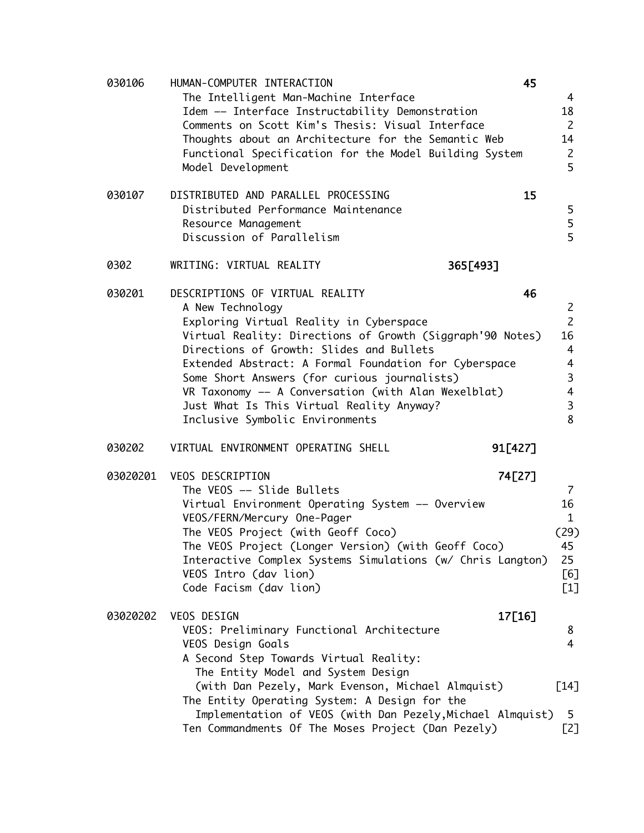| 030106   | HUMAN-COMPUTER INTERACTION<br>The Intelligent Man-Machine Interface<br>Idem -- Interface Instructability Demonstration<br>Comments on Scott Kim's Thesis: Visual Interface<br>Thoughts about an Architecture for the Semantic Web<br>Functional Specification for the Model Building System<br>Model Development                                                                                                                                        | 45             | 4<br>18<br>$\overline{2}$<br>14<br>$\overline{c}$<br>5                                         |
|----------|---------------------------------------------------------------------------------------------------------------------------------------------------------------------------------------------------------------------------------------------------------------------------------------------------------------------------------------------------------------------------------------------------------------------------------------------------------|----------------|------------------------------------------------------------------------------------------------|
| 030107   | DISTRIBUTED AND PARALLEL PROCESSING<br>Distributed Performance Maintenance<br>Resource Management<br>Discussion of Parallelism                                                                                                                                                                                                                                                                                                                          | 15             | 5<br>5<br>5                                                                                    |
| 0302     | WRITING: VIRTUAL REALITY                                                                                                                                                                                                                                                                                                                                                                                                                                | 365[493]       |                                                                                                |
| 030201   | DESCRIPTIONS OF VIRTUAL REALITY<br>A New Technology<br>Exploring Virtual Reality in Cyberspace<br>Virtual Reality: Directions of Growth (Siggraph'90 Notes)<br>Directions of Growth: Slides and Bullets<br>Extended Abstract: A Formal Foundation for Cyberspace<br>Some Short Answers (for curious journalists)<br>VR Taxonomy -- A Conversation (with Alan Wexelblat)<br>Just What Is This Virtual Reality Anyway?<br>Inclusive Symbolic Environments | 46             | $\overline{2}$<br>$\overline{c}$<br>16<br>$\overline{4}$<br>4<br>3<br>$\overline{4}$<br>3<br>8 |
| 030202   | VIRTUAL ENVIRONMENT OPERATING SHELL                                                                                                                                                                                                                                                                                                                                                                                                                     | 91[427]        |                                                                                                |
| 03020201 | VEOS DESCRIPTION<br>The VEOS -- Slide Bullets<br>Virtual Environment Operating System -- Overview<br>VEOS/FERN/Mercury One-Pager<br>The VEOS Project (with Geoff Coco)<br>The VEOS Project (Longer Version) (with Geoff Coco)<br>Interactive Complex Systems Simulations (w/ Chris Langton)<br>VEOS Intro (dav lion)<br>Code Facism (dav lion)                                                                                                          | 74[27]<br>(29) | $\overline{7}$<br>16<br>$\mathbf{1}$<br>45<br>25<br>[6]<br>$[1]$                               |
| 03020202 | VEOS DESIGN<br>VEOS: Preliminary Functional Architecture<br>VEOS Design Goals<br>A Second Step Towards Virtual Reality:<br>The Entity Model and System Design<br>(with Dan Pezely, Mark Evenson, Michael Almquist)<br>The Entity Operating System: A Design for the<br>Implementation of VEOS (with Dan Pezely, Michael Almquist)<br>Ten Commandments Of The Moses Project (Dan Pezely)                                                                 | 17[16]<br>[14] | 8<br>4<br>5.<br>[2]                                                                            |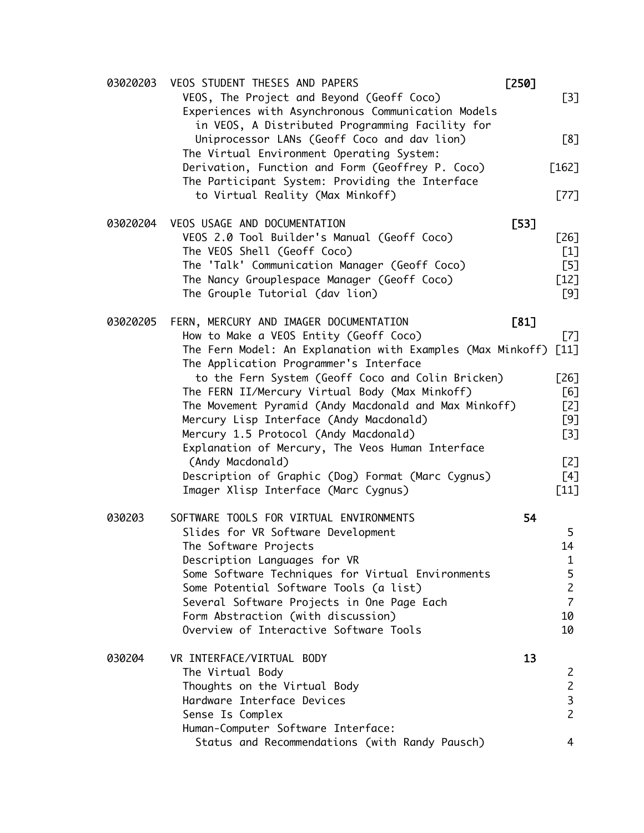| 03020203 | VEOS STUDENT THESES AND PAPERS                                                                                                  | $[250]$ |                                  |
|----------|---------------------------------------------------------------------------------------------------------------------------------|---------|----------------------------------|
|          | VEOS, The Project and Beyond (Geoff Coco)<br>Experiences with Asynchronous Communication Models                                 |         | $[3]$                            |
|          | in VEOS, A Distributed Programming Facility for<br>Uniprocessor LANs (Geoff Coco and dav lion)                                  |         | [8]                              |
|          | The Virtual Environment Operating System:<br>Derivation, Function and Form (Geoffrey P. Coco)                                   |         | $[162]$                          |
|          | The Participant System: Providing the Interface<br>to Virtual Reality (Max Minkoff)                                             |         | $[77]$                           |
| 03020204 | VEOS USAGE AND DOCUMENTATION                                                                                                    | [53]    |                                  |
|          | VEOS 2.0 Tool Builder's Manual (Geoff Coco)<br>The VEOS Shell (Geoff Coco)                                                      |         | [26]<br>$[1]$                    |
|          | The 'Talk' Communication Manager (Geoff Coco)<br>The Nancy Grouplespace Manager (Geoff Coco)<br>The Grouple Tutorial (dav lion) |         | $[5]$<br>$[12]$<br>[9]           |
|          |                                                                                                                                 |         |                                  |
| 03020205 | FERN, MERCURY AND IMAGER DOCUMENTATION<br>How to Make a VEOS Entity (Geoff Coco)                                                | [81]    | [7]                              |
|          | The Fern Model: An Explanation with Examples (Max Minkoff)<br>The Application Programmer's Interface                            |         | $\lceil 11 \rceil$               |
|          | to the Fern System (Geoff Coco and Colin Bricken)                                                                               |         | $[26]$                           |
|          | The FERN II/Mercury Virtual Body (Max Minkoff)                                                                                  |         | [6]                              |
|          | The Movement Pyramid (Andy Macdonald and Max Minkoff)<br>Mercury Lisp Interface (Andy Macdonald)                                |         | [2]<br>[9]                       |
|          | Mercury 1.5 Protocol (Andy Macdonald)                                                                                           |         | $[3]$                            |
|          | Explanation of Mercury, The Veos Human Interface<br>(Andy Macdonald)                                                            |         | [2]                              |
|          | Description of Graphic (Dog) Format (Marc Cygnus)<br>Imager Xlisp Interface (Marc Cygnus)                                       |         | [4]<br>$[11]$                    |
| 030203   | SOFTWARE TOOLS FOR VIRTUAL ENVIRONMENTS                                                                                         | 54      |                                  |
|          | Slides for VR Software Development                                                                                              |         | 5                                |
|          | The Software Projects                                                                                                           |         | 14                               |
|          | Description Languages for VR                                                                                                    |         | $\mathbf{1}$                     |
|          | Some Software Techniques for Virtual Environments                                                                               |         | 5                                |
|          | Some Potential Software Tools (a list)<br>Several Software Projects in One Page Each                                            |         | $\overline{c}$<br>$\overline{7}$ |
|          | Form Abstraction (with discussion)                                                                                              |         | 10                               |
|          | Overview of Interactive Software Tools                                                                                          |         | 10                               |
| 030204   | VR INTERFACE/VIRTUAL BODY                                                                                                       | 13      |                                  |
|          | The Virtual Body                                                                                                                |         | 2                                |
|          | Thoughts on the Virtual Body                                                                                                    |         | $\overline{c}$                   |
|          | Hardware Interface Devices<br>Sense Is Complex                                                                                  |         | $\overline{3}$<br>$\overline{c}$ |
|          | Human-Computer Software Interface:                                                                                              |         |                                  |
|          | Status and Recommendations (with Randy Pausch)                                                                                  |         | 4                                |
|          |                                                                                                                                 |         |                                  |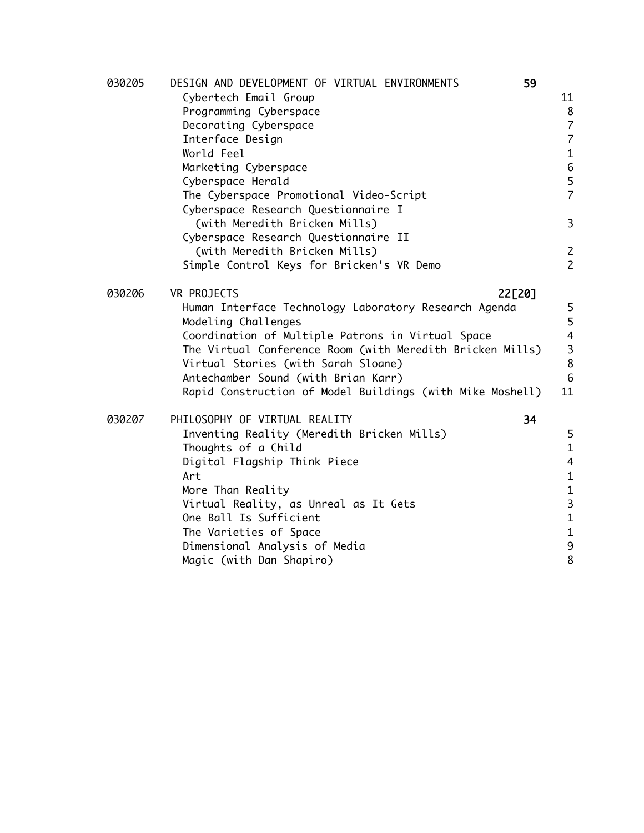| 030205 | DESIGN AND DEVELOPMENT OF VIRTUAL ENVIRONMENTS<br>59      |                |
|--------|-----------------------------------------------------------|----------------|
|        | Cybertech Email Group                                     | 11             |
|        | Programming Cyberspace                                    | 8              |
|        | Decorating Cyberspace                                     | $\overline{7}$ |
|        | Interface Design                                          | $\overline{7}$ |
|        | World Feel                                                | $\mathbf{1}$   |
|        | Marketing Cyberspace                                      | $\,$ 6         |
|        | Cyberspace Herald                                         | 5              |
|        | The Cyberspace Promotional Video-Script                   | $\overline{7}$ |
|        | Cyberspace Research Questionnaire I                       |                |
|        | (with Meredith Bricken Mills)                             | 3              |
|        | Cyberspace Research Questionnaire II                      |                |
|        | (with Meredith Bricken Mills)                             | $\overline{c}$ |
|        | Simple Control Keys for Bricken's VR Demo                 | $\overline{c}$ |
| 030206 | 22[20]<br>VR PROJECTS                                     |                |
|        | Human Interface Technology Laboratory Research Agenda     | 5              |
|        | Modeling Challenges                                       | 5              |
|        | Coordination of Multiple Patrons in Virtual Space         | $\overline{4}$ |
|        | The Virtual Conference Room (with Meredith Bricken Mills) | 3              |
|        | Virtual Stories (with Sarah Sloane)                       | $\bf 8$        |
|        | Antechamber Sound (with Brian Karr)                       | 6              |
|        | Rapid Construction of Model Buildings (with Mike Moshell) | 11             |
|        |                                                           |                |
| 030207 | 34<br>PHILOSOPHY OF VIRTUAL REALITY                       |                |
|        | Inventing Reality (Meredith Bricken Mills)                | 5              |
|        | Thoughts of a Child                                       | $\mathbf{1}$   |
|        | Digital Flagship Think Piece                              | $\overline{4}$ |
|        | Art                                                       | $\mathbf{1}$   |
|        | More Than Reality                                         | $\mathbf{1}$   |
|        | Virtual Reality, as Unreal as It Gets                     | $\mathbf{3}$   |
|        | One Ball Is Sufficient                                    | $\mathbf{1}$   |
|        | The Varieties of Space                                    | $\mathbf{1}$   |
|        | Dimensional Analysis of Media                             | 9              |
|        | Magic (with Dan Shapiro)                                  | 8              |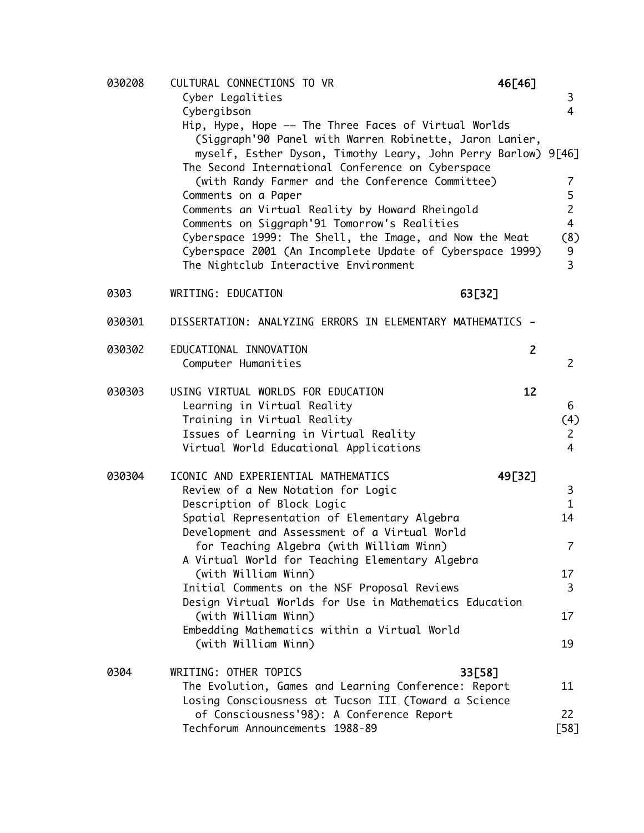| 030208 | CULTURAL CONNECTIONS TO VR                                                                                                                                                                                                                                                                                                                                                                                                                                                                                                                  | 46[46]         |                                                        |
|--------|---------------------------------------------------------------------------------------------------------------------------------------------------------------------------------------------------------------------------------------------------------------------------------------------------------------------------------------------------------------------------------------------------------------------------------------------------------------------------------------------------------------------------------------------|----------------|--------------------------------------------------------|
|        | Cyber Legalities                                                                                                                                                                                                                                                                                                                                                                                                                                                                                                                            |                | 3                                                      |
|        | Cybergibson                                                                                                                                                                                                                                                                                                                                                                                                                                                                                                                                 |                | $\overline{4}$                                         |
|        | Hip, Hype, Hope -- The Three Faces of Virtual Worlds<br>(Siggraph'90 Panel with Warren Robinette, Jaron Lanier,<br>myself, Esther Dyson, Timothy Leary, John Perry Barlow) 9[46]<br>The Second International Conference on Cyberspace<br>(with Randy Farmer and the Conference Committee)<br>Comments on a Paper<br>Comments an Virtual Reality by Howard Rheingold<br>Comments on Siggraph'91 Tomorrow's Realities<br>Cyberspace 1999: The Shell, the Image, and Now the Meat<br>Cyberspace 2001 (An Incomplete Update of Cyberspace 1999) |                | 7<br>5<br>$\overline{2}$<br>$\overline{4}$<br>(8)<br>9 |
|        | The Nightclub Interactive Environment                                                                                                                                                                                                                                                                                                                                                                                                                                                                                                       |                | $\overline{3}$                                         |
| 0303   | WRITING: EDUCATION                                                                                                                                                                                                                                                                                                                                                                                                                                                                                                                          | 63[32]         |                                                        |
|        |                                                                                                                                                                                                                                                                                                                                                                                                                                                                                                                                             |                |                                                        |
| 030301 | DISSERTATION: ANALYZING ERRORS IN ELEMENTARY MATHEMATICS -                                                                                                                                                                                                                                                                                                                                                                                                                                                                                  |                |                                                        |
| 030302 | EDUCATIONAL INNOVATION<br>Computer Humanities                                                                                                                                                                                                                                                                                                                                                                                                                                                                                               | $\overline{2}$ | $\overline{2}$                                         |
|        |                                                                                                                                                                                                                                                                                                                                                                                                                                                                                                                                             |                |                                                        |
| 030303 | USING VIRTUAL WORLDS FOR EDUCATION                                                                                                                                                                                                                                                                                                                                                                                                                                                                                                          | 12             |                                                        |
|        | Learning in Virtual Reality                                                                                                                                                                                                                                                                                                                                                                                                                                                                                                                 |                | 6                                                      |
|        | Training in Virtual Reality<br>Issues of Learning in Virtual Reality                                                                                                                                                                                                                                                                                                                                                                                                                                                                        |                | (4)<br>$\mathsf{Z}$                                    |
|        | Virtual World Educational Applications                                                                                                                                                                                                                                                                                                                                                                                                                                                                                                      |                | $\overline{4}$                                         |
| 030304 | ICONIC AND EXPERIENTIAL MATHEMATICS                                                                                                                                                                                                                                                                                                                                                                                                                                                                                                         | 49[32]         |                                                        |
|        | Review of a New Notation for Logic                                                                                                                                                                                                                                                                                                                                                                                                                                                                                                          |                | 3                                                      |
|        | Description of Block Logic                                                                                                                                                                                                                                                                                                                                                                                                                                                                                                                  |                | $\mathbf{1}$                                           |
|        | Spatial Representation of Elementary Algebra                                                                                                                                                                                                                                                                                                                                                                                                                                                                                                |                | 14                                                     |
|        | Development and Assessment of a Virtual World<br>for Teaching Algebra (with William Winn)                                                                                                                                                                                                                                                                                                                                                                                                                                                   |                | $\overline{\mathcal{L}}$                               |
|        | A Virtual World for Teaching Elementary Algebra                                                                                                                                                                                                                                                                                                                                                                                                                                                                                             |                |                                                        |
|        | (with William Winn)                                                                                                                                                                                                                                                                                                                                                                                                                                                                                                                         |                | 17 <sup>2</sup>                                        |
|        | Initial Comments on the NSF Proposal Reviews                                                                                                                                                                                                                                                                                                                                                                                                                                                                                                |                | 3                                                      |
|        | Design Virtual Worlds for Use in Mathematics Education                                                                                                                                                                                                                                                                                                                                                                                                                                                                                      |                |                                                        |
|        | (with William Winn)<br>Embedding Mathematics within a Virtual World                                                                                                                                                                                                                                                                                                                                                                                                                                                                         |                | 17                                                     |
|        | (with William Winn)                                                                                                                                                                                                                                                                                                                                                                                                                                                                                                                         |                | 19                                                     |
| 0304   | WRITING: OTHER TOPICS                                                                                                                                                                                                                                                                                                                                                                                                                                                                                                                       | 33[58]         |                                                        |
|        | The Evolution, Games and Learning Conference: Report                                                                                                                                                                                                                                                                                                                                                                                                                                                                                        |                | 11                                                     |
|        | Losing Consciousness at Tucson III (Toward a Science                                                                                                                                                                                                                                                                                                                                                                                                                                                                                        |                |                                                        |
|        | of Consciousness'98): A Conference Report                                                                                                                                                                                                                                                                                                                                                                                                                                                                                                   |                | 22                                                     |
|        | Techforum Announcements 1988-89                                                                                                                                                                                                                                                                                                                                                                                                                                                                                                             |                | [58]                                                   |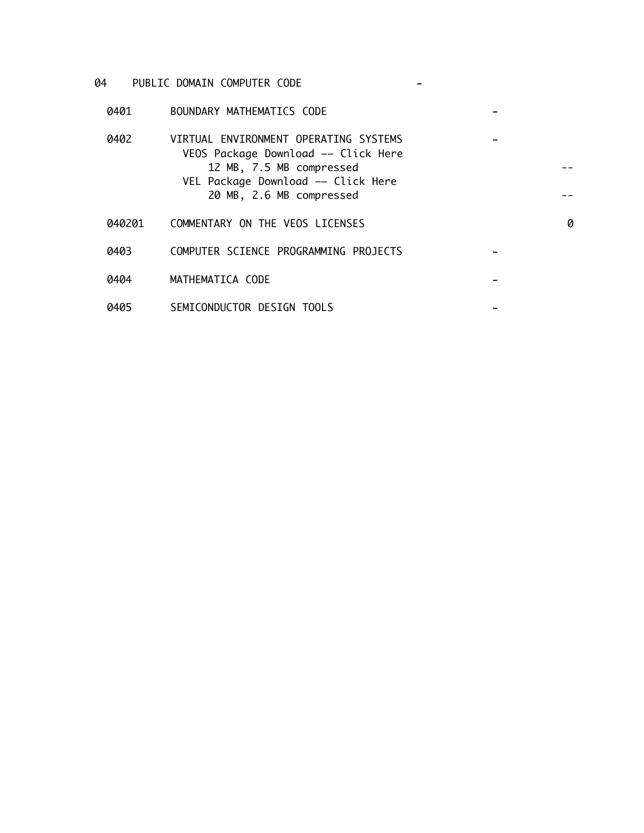### 04 PUBLIC DOMAIN COMPUTER CODE -

0401 BOUNDARY MATHEMATICS CODE -

| 0402   | VIRTUAL ENVIRONMENT OPERATING SYSTEMS<br>VEOS Package Download -- Click Here<br>12 MB, 7.5 MB compressed<br>VEL Package Download -- Click Here<br>20 MB, 2.6 MB compressed |   |
|--------|----------------------------------------------------------------------------------------------------------------------------------------------------------------------------|---|
| 040201 | COMMENTARY ON THE VEOS LICENSES                                                                                                                                            | 0 |
| 0403   | COMPUTER SCIENCE PROGRAMMING PROJECTS                                                                                                                                      |   |
| 0404   | MATHEMATICA CODE                                                                                                                                                           |   |
| 0405   | SEMICONDUCTOR DESIGN TOOLS                                                                                                                                                 |   |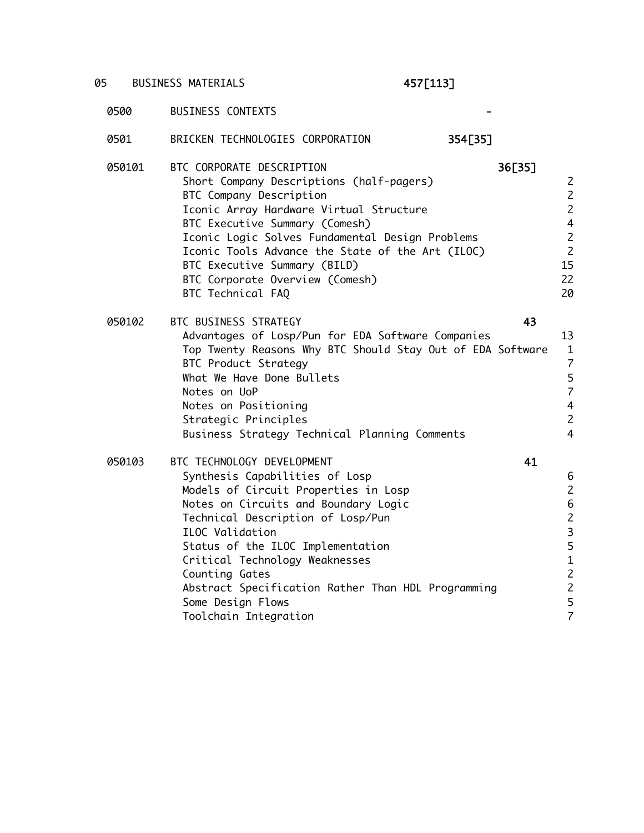# 05 BUSINESS MATERIALS **457[113]**

| 0501   | BRICKEN TECHNOLOGIES CORPORATION<br>354[35]                                                                                                                                                                                                                                                                                                                                                             |                                                                                                                                                      |
|--------|---------------------------------------------------------------------------------------------------------------------------------------------------------------------------------------------------------------------------------------------------------------------------------------------------------------------------------------------------------------------------------------------------------|------------------------------------------------------------------------------------------------------------------------------------------------------|
| 050101 | BTC CORPORATE DESCRIPTION<br>36[35]<br>Short Company Descriptions (half-pagers)<br>BTC Company Description<br>Iconic Array Hardware Virtual Structure<br>BTC Executive Summary (Comesh)<br>Iconic Logic Solves Fundamental Design Problems<br>Iconic Tools Advance the State of the Art (ILOC)<br>BTC Executive Summary (BILD)<br>BTC Corporate Overview (Comesh)<br>BTC Technical FAQ                  | $\overline{c}$<br>$\overline{c}$<br>$\overline{c}$<br>$\overline{4}$<br>$\overline{c}$<br>$\overline{c}$<br>15<br>22<br>20                           |
| 050102 | 43<br>BTC BUSINESS STRATEGY<br>Advantages of Losp/Pun for EDA Software Companies<br>Top Twenty Reasons Why BTC Should Stay Out of EDA Software<br><b>BTC Product Strategy</b><br>What We Have Done Bullets<br>Notes on UoP<br>Notes on Positioning<br>Strategic Principles<br>Business Strategy Technical Planning Comments                                                                             | 13<br>$\mathbf{1}$<br>$\overline{7}$<br>$\frac{5}{7}$<br>$\overline{4}$<br>$\overline{c}$<br>$\overline{4}$                                          |
| 050103 | 41<br>BTC TECHNOLOGY DEVELOPMENT<br>Synthesis Capabilities of Losp<br>Models of Circuit Properties in Losp<br>Notes on Circuits and Boundary Logic<br>Technical Description of Losp/Pun<br>ILOC Validation<br>Status of the ILOC Implementation<br>Critical Technology Weaknesses<br>Counting Gates<br>Abstract Specification Rather Than HDL Programming<br>Some Design Flows<br>Toolchain Integration | 6<br>$\overline{\mathbf{c}}$<br>$\begin{array}{c} 6 \\ 2 \\ 3 \end{array}$<br>5<br>$\begin{array}{c} 1 \\ 2 \\ 2 \end{array}$<br>5<br>$\overline{7}$ |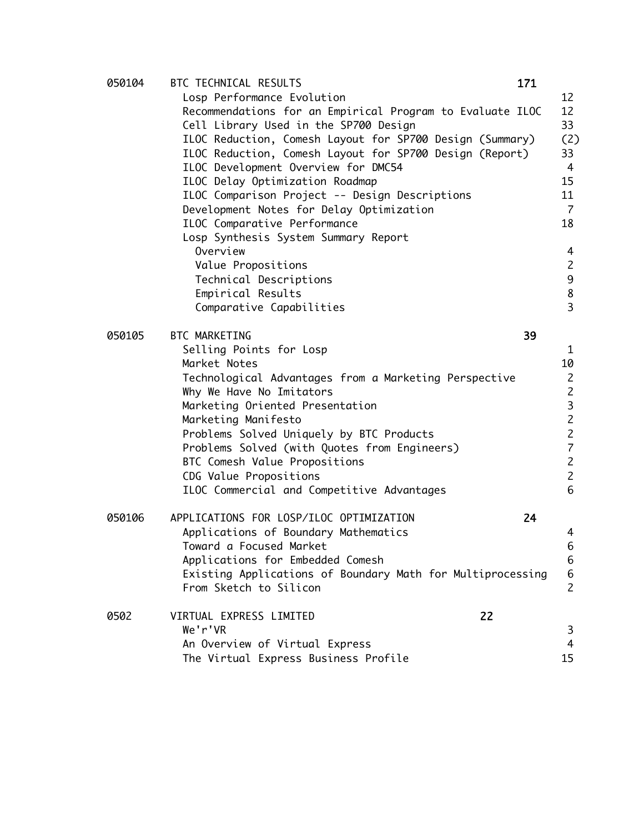| 050104 | BTC TECHNICAL RESULTS                                      | 171 |                |
|--------|------------------------------------------------------------|-----|----------------|
|        | Losp Performance Evolution                                 |     | 12             |
|        | Recommendations for an Empirical Program to Evaluate ILOC  |     | 12             |
|        | Cell Library Used in the SP700 Design                      |     | 33             |
|        | ILOC Reduction, Comesh Layout for SP700 Design (Summary)   |     | (2)            |
|        | ILOC Reduction, Comesh Layout for SP700 Design (Report)    |     | 33             |
|        | ILOC Development Overview for DMC54                        |     | 4              |
|        | ILOC Delay Optimization Roadmap                            |     | 15             |
|        | ILOC Comparison Project -- Design Descriptions             |     | 11             |
|        | Development Notes for Delay Optimization                   |     | 7              |
|        | ILOC Comparative Performance                               |     | 18             |
|        | Losp Synthesis System Summary Report                       |     |                |
|        | Overview                                                   |     | 4              |
|        | Value Propositions                                         |     | $\mathbf{2}$   |
|        | Technical Descriptions                                     |     | 9              |
|        | Empirical Results                                          |     | 8              |
|        | Comparative Capabilities                                   |     | $\overline{3}$ |
|        |                                                            |     |                |
| 050105 | BTC MARKETING                                              | 39  |                |
|        | Selling Points for Losp                                    |     | $\mathbf{1}$   |
|        | Market Notes                                               |     | 10             |
|        | Technological Advantages from a Marketing Perspective      |     | $\overline{c}$ |
|        | Why We Have No Imitators                                   |     | $\overline{c}$ |
|        | Marketing Oriented Presentation                            |     | 3              |
|        | Marketing Manifesto                                        |     | $\overline{c}$ |
|        | Problems Solved Uniquely by BTC Products                   |     | $\overline{c}$ |
|        | Problems Solved (with Quotes from Engineers)               |     | $\overline{7}$ |
|        | BTC Comesh Value Propositions                              |     | $\overline{2}$ |
|        | CDG Value Propositions                                     |     | $\overline{c}$ |
|        | ILOC Commercial and Competitive Advantages                 |     | 6              |
|        |                                                            |     |                |
| 050106 | APPLICATIONS FOR LOSP/ILOC OPTIMIZATION                    | 24  |                |
|        | Applications of Boundary Mathematics                       |     | 4              |
|        | Toward a Focused Market                                    |     | 6              |
|        | Applications for Embedded Comesh                           |     | 6              |
|        | Existing Applications of Boundary Math for Multiprocessing |     | 6              |
|        | From Sketch to Silicon                                     |     | $\overline{c}$ |
|        |                                                            |     |                |
| 0502   | 22<br>VIRTUAL EXPRESS LIMITED                              |     |                |
|        | We'r'VR                                                    |     | 3              |
|        | An Overview of Virtual Express                             |     | 4              |
|        | The Virtual Express Business Profile                       |     | 15             |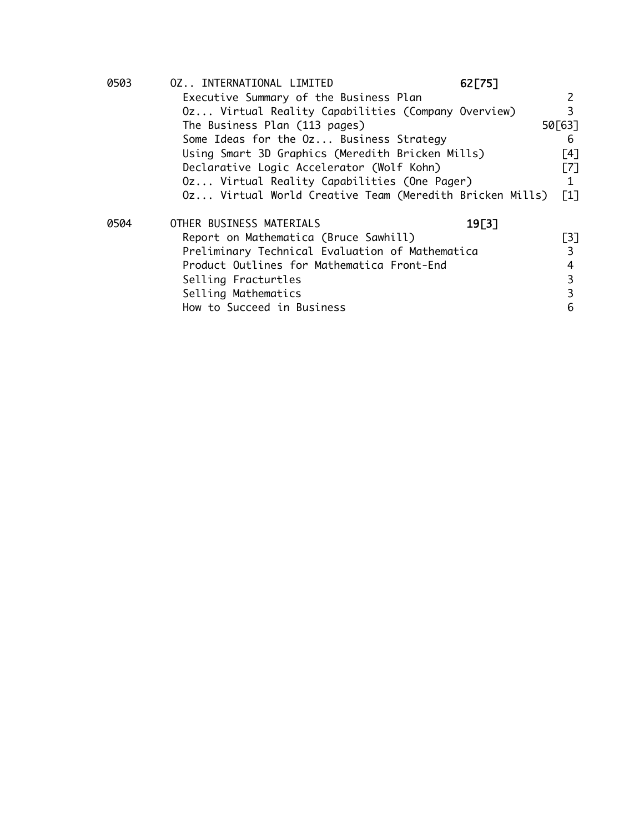| 0503 | 0Z INTERNATIONAL LIMITED                                | 62[75] |                   |
|------|---------------------------------------------------------|--------|-------------------|
|      | Executive Summary of the Business Plan                  |        | 2                 |
|      | 0z Virtual Reality Capabilities (Company Overview)      |        | 3                 |
|      | The Business Plan (113 pages)                           |        | 50[63]            |
|      | Some Ideas for the Oz Business Strategy                 |        | 6                 |
|      | Using Smart 3D Graphics (Meredith Bricken Mills)        |        | [4]               |
|      | Declarative Logic Accelerator (Wolf Kohn)               |        | $\lceil 7 \rceil$ |
|      | Oz Virtual Reality Capabilities (One Pager)             |        | 1                 |
|      | 0z Virtual World Creative Team (Meredith Bricken Mills) |        | $\lceil 1 \rceil$ |
| 0504 | OTHER BUSINESS MATERIALS                                | 19[3]  |                   |
|      | Report on Mathematica (Bruce Sawhill)                   |        | $\lceil 3 \rceil$ |
|      | Preliminary Technical Evaluation of Mathematica         |        | 3                 |
|      | Product Outlines for Mathematica Front-End              |        | 4                 |
|      | Selling Fracturtles                                     |        | 3                 |
|      | Selling Mathematics                                     |        | 3                 |
|      | How to Succeed in Business                              |        | 6                 |
|      |                                                         |        |                   |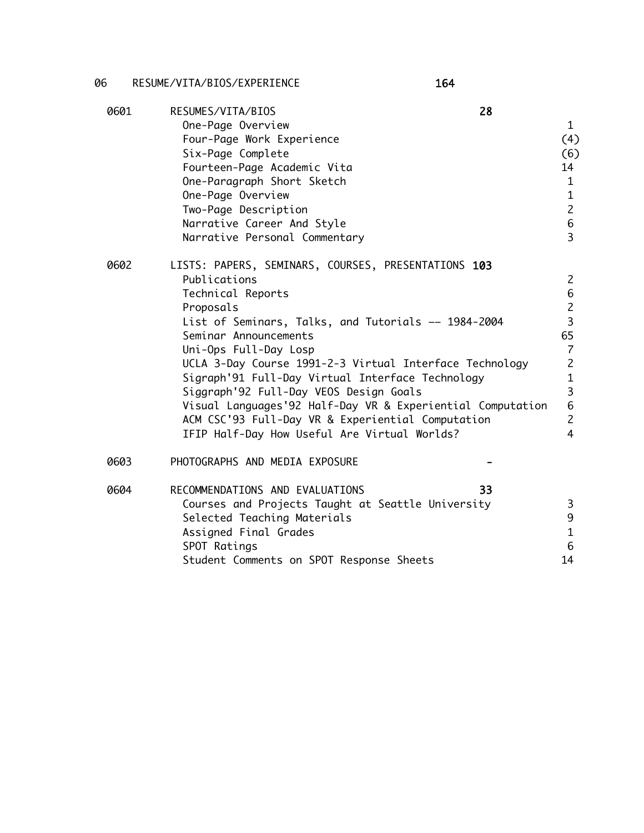### 06 RESUME/VITA/BIOS/EXPERIENCE 164

| 0601 | RESUMES/VITA/BIOS<br>28                                    |                          |
|------|------------------------------------------------------------|--------------------------|
|      | One-Page Overview<br>Four-Page Work Experience             | $\mathbf{1}$<br>(4)      |
|      | Six-Page Complete                                          | (6)                      |
|      | Fourteen-Page Academic Vita                                | 14                       |
|      | One-Paragraph Short Sketch                                 | $\mathbf{1}$             |
|      | One-Page Overview                                          | $\mathbf{1}$             |
|      | Two-Page Description                                       | $\overline{c}$           |
|      | Narrative Career And Style                                 | 6                        |
|      | Narrative Personal Commentary                              | $\overline{3}$           |
| 0602 | LISTS: PAPERS, SEMINARS, COURSES, PRESENTATIONS 103        |                          |
|      | Publications                                               | $\mathsf{Z}$             |
|      | Technical Reports                                          | 6                        |
|      | Proposals                                                  | $\overline{c}$           |
|      | List of Seminars, Talks, and Tutorials -- 1984-2004        | $\overline{\mathbf{3}}$  |
|      | Seminar Announcements                                      | 65                       |
|      | Uni-Ops Full-Day Losp                                      | $\overline{\mathcal{L}}$ |
|      | UCLA 3-Day Course 1991-2-3 Virtual Interface Technology    | $\overline{2}$           |
|      | Sigraph'91 Full-Day Virtual Interface Technology           | $\mathbf{1}$             |
|      | Siggraph'92 Full-Day VEOS Design Goals                     | 3                        |
|      | Visual Languages'92 Half-Day VR & Experiential Computation | 6                        |
|      | ACM CSC'93 Full-Day VR & Experiential Computation          | $\overline{c}$           |
|      | IFIP Half-Day How Useful Are Virtual Worlds?               | $\overline{4}$           |
| 0603 | PHOTOGRAPHS AND MEDIA EXPOSURE                             |                          |
| 0604 | RECOMMENDATIONS AND EVALUATIONS<br>33                      |                          |
|      | Courses and Projects Taught at Seattle University          | 3                        |
|      | Selected Teaching Materials                                | 9                        |
|      | Assigned Final Grades                                      | $\mathbf{1}$             |
|      | SPOT Ratings                                               | 6                        |
|      | Student Comments on SPOT Response Sheets                   | 14                       |
|      |                                                            |                          |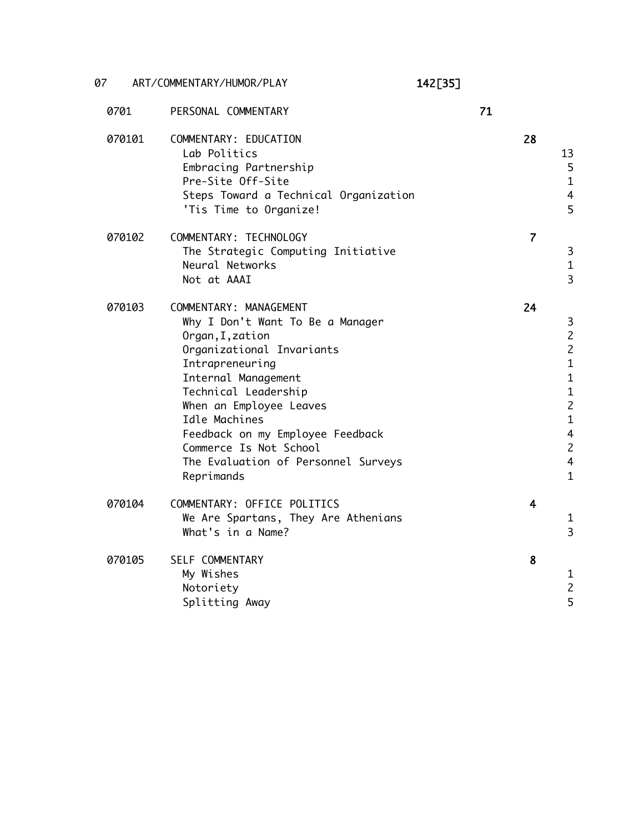07 ART/COMMENTARY/HUMOR/PLAY 142[35]

| 0701   | PERSONAL COMMENTARY                                                                                                                                                                                                                                                                                                                          | 71 |                         |                                                                                                                                              |
|--------|----------------------------------------------------------------------------------------------------------------------------------------------------------------------------------------------------------------------------------------------------------------------------------------------------------------------------------------------|----|-------------------------|----------------------------------------------------------------------------------------------------------------------------------------------|
| 070101 | COMMENTARY: EDUCATION<br>Lab Politics<br>Embracing Partnership<br>Pre-Site Off-Site<br>Steps Toward a Technical Organization<br>'Tis Time to Organize!                                                                                                                                                                                       |    | 28                      | 13<br>5<br>$\mathbf{1}$<br>$\overline{4}$<br>5                                                                                               |
| 070102 | COMMENTARY: TECHNOLOGY<br>The Strategic Computing Initiative<br>Neural Networks<br>Not at AAAI                                                                                                                                                                                                                                               |    | $\overline{7}$          | 3<br>$\mathbf{1}$<br>$\overline{3}$                                                                                                          |
| 070103 | COMMENTARY: MANAGEMENT<br>Why I Don't Want To Be a Manager<br>Organ, I, zation<br>Organizational Invariants<br>Intrapreneuring<br>Internal Management<br>Technical Leadership<br>When an Employee Leaves<br>Idle Machines<br>Feedback on my Employee Feedback<br>Commerce Is Not School<br>The Evaluation of Personnel Surveys<br>Reprimands |    | 24                      | 3<br>$\frac{2}{2}$<br>$\mathbf{1}$<br>$\mathbf{1}$<br>$\frac{1}{2}$<br>$\mathbf{1}$<br>$\overline{4}$<br>$\overline{c}$<br>4<br>$\mathbf{1}$ |
| 070104 | COMMENTARY: OFFICE POLITICS<br>We Are Spartans, They Are Athenians<br>What's in a Name?                                                                                                                                                                                                                                                      |    | $\overline{\mathbf{4}}$ | $\mathbf{1}$<br>3                                                                                                                            |
| 070105 | SELF COMMENTARY<br>My Wishes<br>Notoriety<br>Splitting Away                                                                                                                                                                                                                                                                                  |    | 8                       | $\mathbf{1}$<br>$\overline{c}$<br>5                                                                                                          |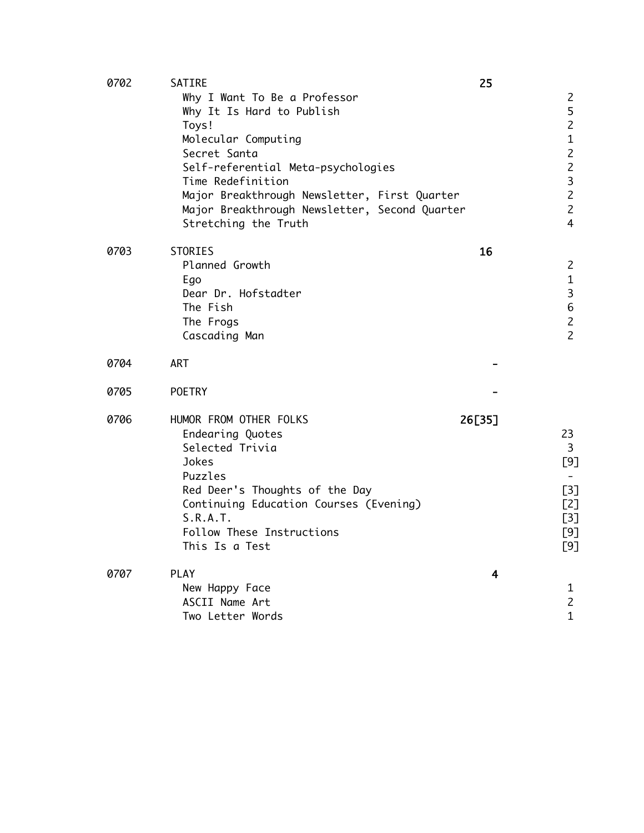| 0702 | SATIRE                                                                                                                                                                                                                                                                                        | 25     |                                                                                                                                                      |
|------|-----------------------------------------------------------------------------------------------------------------------------------------------------------------------------------------------------------------------------------------------------------------------------------------------|--------|------------------------------------------------------------------------------------------------------------------------------------------------------|
|      | Why I Want To Be a Professor<br>Why It Is Hard to Publish<br>Toys!<br>Molecular Computing<br>Secret Santa<br>Self-referential Meta-psychologies<br>Time Redefinition<br>Major Breakthrough Newsletter, First Quarter<br>Major Breakthrough Newsletter, Second Quarter<br>Stretching the Truth |        | $\overline{c}$<br>5<br>$\overline{c}$<br>$\mathbf{1}$<br>$\overline{2}$<br>$\overline{c}$<br>3<br>$\overline{c}$<br>$\overline{c}$<br>$\overline{4}$ |
| 0703 | <b>STORIES</b><br>Planned Growth<br>Ego<br>Dear Dr. Hofstadter<br>The Fish<br>The Frogs<br>Cascading Man                                                                                                                                                                                      | 16     | $\overline{c}$<br>$\mathbf{1}$<br>3<br>6<br>$\overline{c}$<br>$\overline{2}$                                                                         |
| 0704 | <b>ART</b>                                                                                                                                                                                                                                                                                    |        |                                                                                                                                                      |
| 0705 | <b>POETRY</b>                                                                                                                                                                                                                                                                                 |        |                                                                                                                                                      |
| 0706 | HUMOR FROM OTHER FOLKS<br>Endearing Quotes<br>Selected Trivia<br>Jokes<br>Puzzles<br>Red Deer's Thoughts of the Day<br>Continuing Education Courses (Evening)<br>S.R.A.T.<br>Follow These Instructions<br>This Is a Test                                                                      | 26[35] | 23<br>3<br>[9]<br>$[3]$<br>[2]<br>[3]<br>[9]<br>[9]                                                                                                  |
| 0707 | <b>PLAY</b><br>New Happy Face<br>ASCII Name Art<br>Two Letter Words                                                                                                                                                                                                                           | 4      | $\mathbf{1}$<br>$\overline{c}$<br>$\mathbf{1}$                                                                                                       |